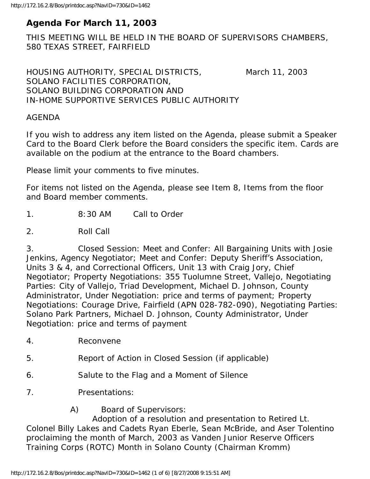## **Agenda For March 11, 2003**

THIS MEETING WILL BE HELD IN THE BOARD OF SUPERVISORS CHAMBERS, 580 TEXAS STREET, FAIRFIELD

HOUSING AUTHORITY, SPECIAL DISTRICTS, March 11, 2003 SOLANO FACILITIES CORPORATION, SOLANO BUILDING CORPORATION AND IN-HOME SUPPORTIVE SERVICES PUBLIC AUTHORITY

## AGENDA

If you wish to address any item listed on the Agenda, please submit a Speaker Card to the Board Clerk before the Board considers the specific item. Cards are available on the podium at the entrance to the Board chambers.

Please limit your comments to five minutes.

For items not listed on the Agenda, please see Item 8, Items from the floor and Board member comments.

1. 8:30 AM Call to Order

2. Roll Call

3. Closed Session: Meet and Confer: All Bargaining Units with Josie Jenkins, Agency Negotiator; Meet and Confer: Deputy Sheriff's Association, Units 3 & 4, and Correctional Officers, Unit 13 with Craig Jory, Chief Negotiator; Property Negotiations: 355 Tuolumne Street, Vallejo, Negotiating Parties: City of Vallejo, Triad Development, Michael D. Johnson, County Administrator, Under Negotiation: price and terms of payment; Property Negotiations: Courage Drive, Fairfield (APN 028-782-090), Negotiating Parties: Solano Park Partners, Michael D. Johnson, County Administrator, Under Negotiation: price and terms of payment

- 4. Reconvene
- 5. Report of Action in Closed Session (if applicable)
- 6. Salute to the Flag and a Moment of Silence
- 7. Presentations:

A) Board of Supervisors:

 Adoption of a resolution and presentation to Retired Lt. Colonel Billy Lakes and Cadets Ryan Eberle, Sean McBride, and Aser Tolentino proclaiming the month of March, 2003 as Vanden Junior Reserve Officers Training Corps (ROTC) Month in Solano County (Chairman Kromm)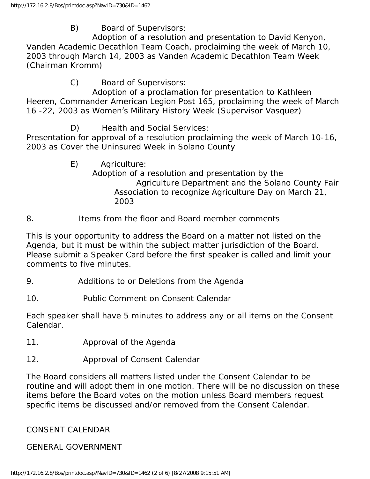B) Board of Supervisors:

 Adoption of a resolution and presentation to David Kenyon, Vanden Academic Decathlon Team Coach, proclaiming the week of March 10, 2003 through March 14, 2003 as Vanden Academic Decathlon Team Week (Chairman Kromm)

C) Board of Supervisors:

 Adoption of a proclamation for presentation to Kathleen Heeren, Commander American Legion Post 165, proclaiming the week of March 16 -22, 2003 as Women's Military History Week (Supervisor Vasquez)

D) Health and Social Services:

Presentation for approval of a resolution proclaiming the week of March 10-16, 2003 as Cover the Uninsured Week in Solano County

> E) Agriculture: Adoption of a resolution and presentation by the Agriculture Department and the Solano County Fair Association to recognize Agriculture Day on March 21, 2003

## 8. Items from the floor and Board member comments

This is your opportunity to address the Board on a matter not listed on the Agenda, but it must be within the subject matter jurisdiction of the Board. Please submit a Speaker Card before the first speaker is called and limit your comments to five minutes.

- 9. Additions to or Deletions from the Agenda
- 10. Public Comment on Consent Calendar

Each speaker shall have 5 minutes to address any or all items on the Consent Calendar.

- 11. Approval of the Agenda
- 12. Approval of Consent Calendar

The Board considers all matters listed under the Consent Calendar to be routine and will adopt them in one motion. There will be no discussion on these items before the Board votes on the motion unless Board members request specific items be discussed and/or removed from the Consent Calendar.

# CONSENT CALENDAR

GENERAL GOVERNMENT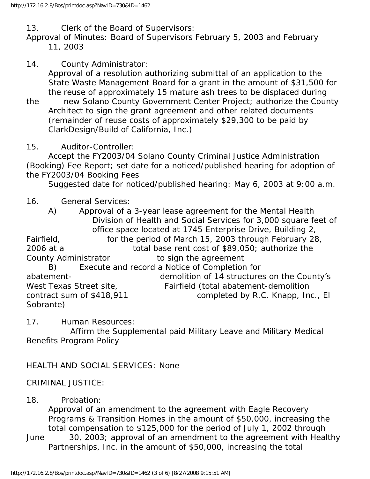13. Clerk of the Board of Supervisors:

Approval of Minutes: Board of Supervisors February 5, 2003 and February 11, 2003

- 14. County Administrator: Approval of a resolution authorizing submittal of an application to the State Waste Management Board for a grant in the amount of \$31,500 for the reuse of approximately 15 mature ash trees to be displaced during
- the new Solano County Government Center Project; authorize the County Architect to sign the grant agreement and other related documents (remainder of reuse costs of approximately \$29,300 to be paid by ClarkDesign/Build of California, Inc.)
- 15. Auditor-Controller:

 Accept the FY2003/04 Solano County Criminal Justice Administration (Booking) Fee Report; set date for a noticed/published hearing for adoption of the FY2003/04 Booking Fees

Suggested date for noticed/published hearing: May 6, 2003 at 9:00 a.m.

## 16. General Services:

 A) Approval of a 3-year lease agreement for the Mental Health Division of Health and Social Services for 3,000 square feet of office space located at 1745 Enterprise Drive, Building 2, Fairfield, for the period of March 15, 2003 through February 28, 2006 at a total base rent cost of \$89,050; authorize the County Administrator to sign the agreement B) Execute and record a Notice of Completion for abatement- demolition of 14 structures on the County's West Texas Street site, Fairfield (total abatement-demolition contract sum of \$418,911 completed by R.C. Knapp, Inc., El Sobrante)

17. Human Resources:

 Affirm the Supplemental paid Military Leave and Military Medical Benefits Program Policy

## HEALTH AND SOCIAL SERVICES: None

#### CRIMINAL JUSTICE:

#### 18. Probation:

 Approval of an amendment to the agreement with Eagle Recovery Programs & Transition Homes in the amount of \$50,000, increasing the total compensation to \$125,000 for the period of July 1, 2002 through

June 30, 2003; approval of an amendment to the agreement with Healthy Partnerships, Inc. in the amount of \$50,000, increasing the total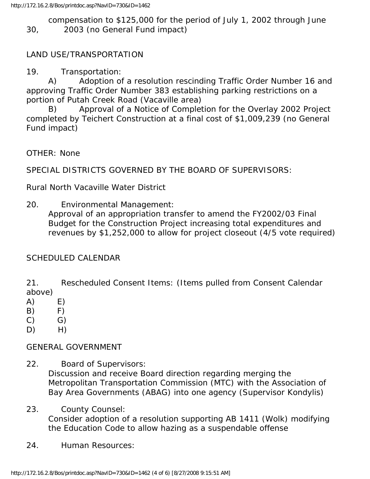compensation to \$125,000 for the period of July 1, 2002 through June 30, 2003 (no General Fund impact)

## LAND USE/TRANSPORTATION

19. Transportation:

 A) Adoption of a resolution rescinding Traffic Order Number 16 and approving Traffic Order Number 383 establishing parking restrictions on a portion of Putah Creek Road (Vacaville area)

 B) Approval of a Notice of Completion for the Overlay 2002 Project completed by Teichert Construction at a final cost of \$1,009,239 (no General Fund impact)

OTHER: None

SPECIAL DISTRICTS GOVERNED BY THE BOARD OF SUPERVISORS:

Rural North Vacaville Water District

20. Environmental Management:

 Approval of an appropriation transfer to amend the FY2002/03 Final Budget for the Construction Project increasing total expenditures and revenues by \$1,252,000 to allow for project closeout (4/5 vote required)

## SCHEDULED CALENDAR

21. Rescheduled Consent Items: (Items pulled from Consent Calendar above)

- $(A)$  E)
- B) F)
- $(C)$   $G)$
- $D)$  H)

## GENERAL GOVERNMENT

- 22. Board of Supervisors: Discussion and receive Board direction regarding merging the Metropolitan Transportation Commission (MTC) with the Association of Bay Area Governments (ABAG) into one agency (Supervisor Kondylis)
- 23. County Counsel: Consider adoption of a resolution supporting AB 1411 (Wolk) modifying the Education Code to allow hazing as a suspendable offense
- 24. Human Resources: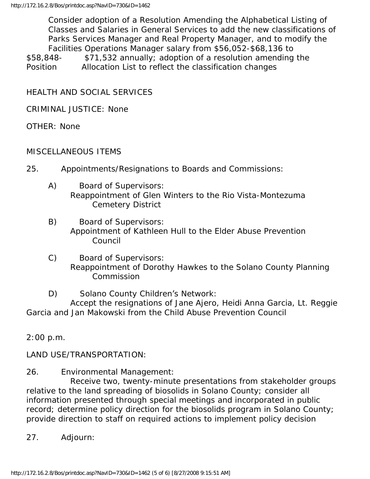Consider adoption of a Resolution Amending the Alphabetical Listing of Classes and Salaries in General Services to add the new classifications of Parks Services Manager and Real Property Manager, and to modify the Facilities Operations Manager salary from \$56,052-\$68,136 to \$58,848- \$71,532 annually; adoption of a resolution amending the Position Allocation List to reflect the classification changes

HEALTH AND SOCIAL SERVICES

CRIMINAL JUSTICE: None

OTHER: None

## MISCELLANEOUS ITEMS

- 25. Appointments/Resignations to Boards and Commissions:
	- A) Board of Supervisors: Reappointment of Glen Winters to the Rio Vista-Montezuma Cemetery District
	- B) Board of Supervisors: Appointment of Kathleen Hull to the Elder Abuse Prevention Council
	- C) Board of Supervisors: Reappointment of Dorothy Hawkes to the Solano County Planning Commission
	- D) Solano County Children's Network:

 Accept the resignations of Jane Ajero, Heidi Anna Garcia, Lt. Reggie Garcia and Jan Makowski from the Child Abuse Prevention Council

2:00 p.m.

LAND USE/TRANSPORTATION:

26. Environmental Management:

 Receive two, twenty-minute presentations from stakeholder groups relative to the land spreading of biosolids in Solano County; consider all information presented through special meetings and incorporated in public record; determine policy direction for the biosolids program in Solano County; provide direction to staff on required actions to implement policy decision

27. Adjourn: